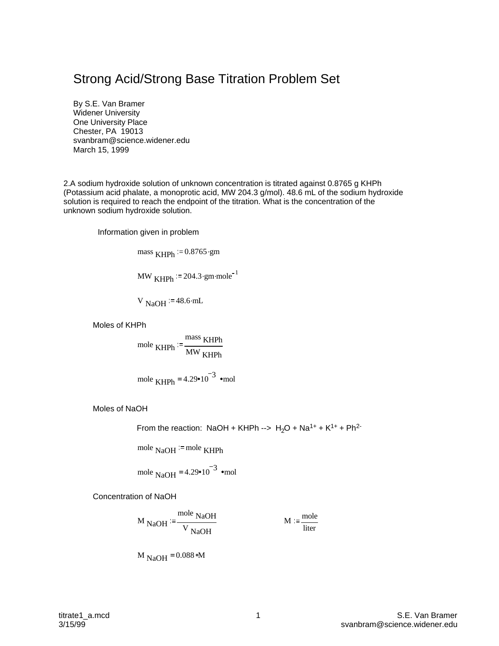## Strong Acid/Strong Base Titration Problem Set

By S.E. Van Bramer Widener University One University Place Chester, PA 19013 svanbram@science.widener.edu March 15, 1999

2.A sodium hydroxide solution of unknown concentration is titrated against 0.8765 g KHPh (Potassium acid phalate, a monoprotic acid, MW 204.3 g/mol). 48.6 mL of the sodium hydroxide solution is required to reach the endpoint of the titration. What is the concentration of the unknown sodium hydroxide solution.

Information given in problem

mass  $KHPh := 0.8765.9$ gm

MW  $KHPh = 204.3 \cdot gm \cdot mole^{-1}$ 

V  $_{\text{NaOH}}$  = 48.6 $\cdot$ mL

Moles of KHPh

$$
mole KHPh := \frac{mass KHPh}{MW KHPh}
$$

mole KHPh = 
$$
4.29 \cdot 10^{-3}
$$
  $\cdot$ mol

Moles of NaOH

From the reaction: NaOH + KHPh -->  $H_2O + Na^{1+} + K^{1+} + Ph^{2-}$ 

mole  $NaOH =$  mole KHPh

mole NaOH = 
$$
4.29 \cdot 10^{-3}
$$
  $\cdot$ mol

Concentration of NaOH

$$
M_{\text{NaOH}} := \frac{\text{mole NaOH}}{\text{V NaOH}}
$$
 
$$
M := \frac{\text{mole}}{\text{liter}}
$$

$$
M_{NaOH} = 0.088 \text{ }\,M
$$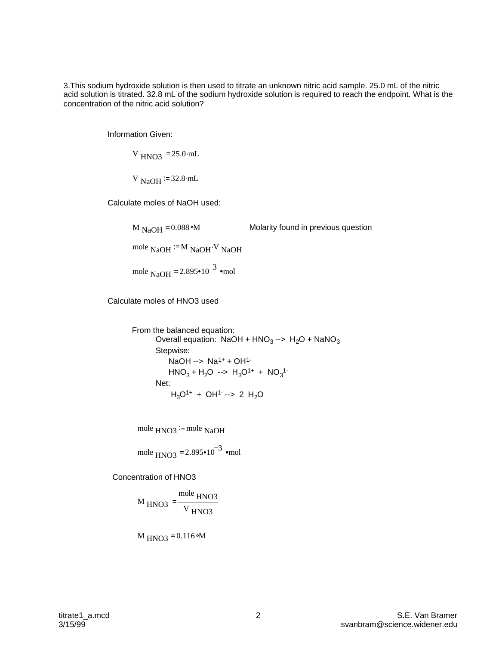3.This sodium hydroxide solution is then used to titrate an unknown nitric acid sample. 25.0 mL of the nitric acid solution is titrated. 32.8 mL of the sodium hydroxide solution is required to reach the endpoint. What is the concentration of the nitric acid solution?

Information Given:

 $V_{HNO3}$  = 25.0 mL

V  $_{\text{NaOH}}$  = 32.8 $\cdot$ mL

Calculate moles of NaOH used:

M<sub>NaOH</sub> = 0.088 M  
Molarity found in previous question  
mole<sub>NaOH</sub> := M<sub>NaOH</sub> V<sub>NaOH</sub>  
mole<sub>NaOH</sub> = 2.895•10<sup>-3</sup> 
$$
\cdot
$$
mol

Calculate moles of HNO3 used

From the balanced equation: Overall equation: NaOH +  $HNO<sub>3</sub>$  -->  $H<sub>2</sub>O$  + NaNO<sub>3</sub> Stepwise: NaOH  $\rightarrow$  Na<sup>1+</sup> + OH<sup>1-</sup>  $HNO<sub>3</sub> + H<sub>2</sub>O \rightarrow H<sub>3</sub>O<sup>1+</sup> + NO<sub>3</sub><sup>1-</sup>$  Net:  $H_3O^{1+} + OH^{1-} \rightarrow 2 H_2O$ 

mole  $HNO3$ <sup>= mole</sup> NaOH

mole 
$$
\text{HNO3} = 2.895 \cdot 10^{-3}
$$
 \nmd

Concentration of HNO3

$$
M_{HNO3} := \frac{\text{mole HNO3}}{V_{HNO3}}
$$

$$
M_{\text{HNO3}} = 0.116 \text{ }\text{M}
$$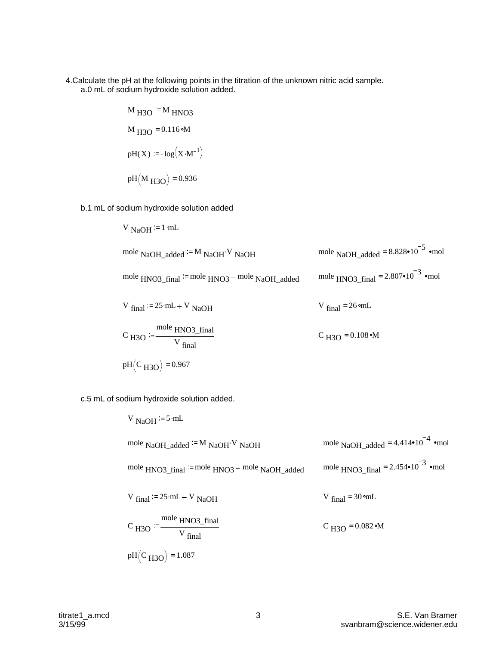4.Calculate the pH at the following points in the titration of the unknown nitric acid sample. a.0 mL of sodium hydroxide solution added.

M H3O M HNO3 M H3O <sup>=</sup> 0.116 M pH(X) log X M 1 . pH M H3O <sup>=</sup> 0.936

b.1 mL of sodium hydroxide solution added

V NaOH = 1 mL  
\nmole NaOH\_added <sup>1</sup> = M NaOH<sup>V</sup> NaOH  
\nmole NaOH\_added = 8.828•10<sup>-5</sup> mol  
\nmole HNO3\_final <sup>1</sup> = mole HNO3\_f model  
\nV final <sup>2</sup> = 25 mL + V NaOH  
\nC H3O <sup>3</sup> = 
$$
\frac{\text{mole HNO3_final}}{\text{V final}}
$$
  
\nV H3O = 0.108°M  
\n $\frac{\text{mole HNO3_final}}{\text{V final}}$   
\n $\frac{\text{mole HNO3_final}}{\text{V final}}$   
\n $\frac{\text{mole HNO3_final}}{\text{V final}}$   
\n $\frac{\text{mole HNO3_final}}{\text{V final}}$   
\n $\frac{\text{mole HNO3_final}}{\text{V final}}$ 

c.5 mL of sodium hydroxide solution added.

V NaOH := 5·mL  
\nmole NaOH\_added := M NaOH<sup>V</sup> NaOH  
\nmole NaOH\_added = 4.414•10<sup>-4</sup> •mol  
\nmole HNO3\_final := mole HNO3 – mole NaOH\_added  
\nV final := 25·mL + V NaOH  
\nV final = 30 •ml  
\n
$$
V_{final} = 30 •ml
$$
\n
$$
V_{final} = 30 •ml
$$
\n
$$
C_{H3O} = 0.082 •M
$$
\n
$$
pH(C_{H3O}) = 1.087
$$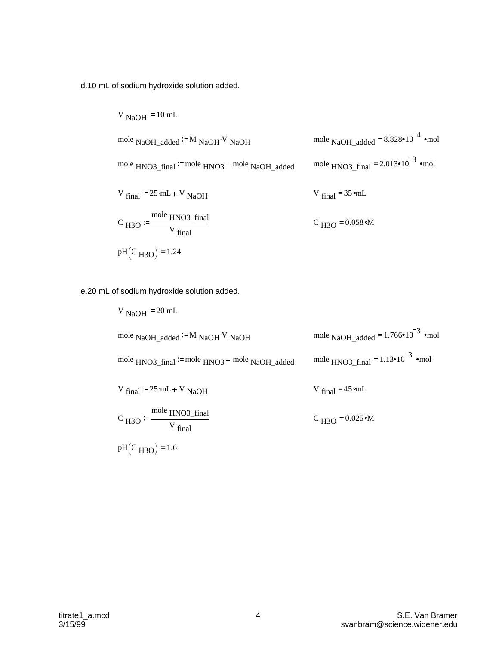d.10 mL of sodium hydroxide solution added.

V NaOH <sup>1</sup> = 10·mL  
\nmole NaOH\_added <sup>1</sup> = M NaOH<sup>•</sup>V NaOH  
\nmole HNO3\_final <sup>1</sup> = mole HNO3 – mole NaOH\_added  
\nV final <sup>1</sup> = 25·mL + V NaOH  
\nV final <sup>2</sup> = 25·mL + V NaOH  
\n
$$
V_{final} = 35·mL
$$
\n
$$
C_{H3O} = \frac{\text{mole HNO3_final}}{V_{final}}
$$
\n
$$
C_{H3O} = 0.058·m
$$

e.20 mL of sodium hydroxide solution added.

V NaOH := 20·mL  
\nmole NaOH\_added := M NaOH<sup>V</sup> NaOH  
\nmole HNO3\_final := mole HNO3 - mole NaOH\_added  
\nV<sub>final</sub> := 25·mL + V NaOH  
\nC H3O := 
$$
\frac{\text{mole HNO3_final}}{\text{V final}}
$$
  
\nV<sub>final</sub> = 45·mL  
\n $\frac{\text{mole HNO3_final}}{\text{V final}}$   
\n $\frac{\text{mole HNO3_final}}{\text{V final}}$   
\n $\frac{\text{mole HNO3_final}}{\text{V final}}$   
\n $\frac{\text{mole HNO3_final}}{\text{V final}}$   
\n $\frac{\text{mole HNO3_final}}{\text{V final}}$   
\n $\frac{\text{mole HNO3_final}}{\text{V final}}$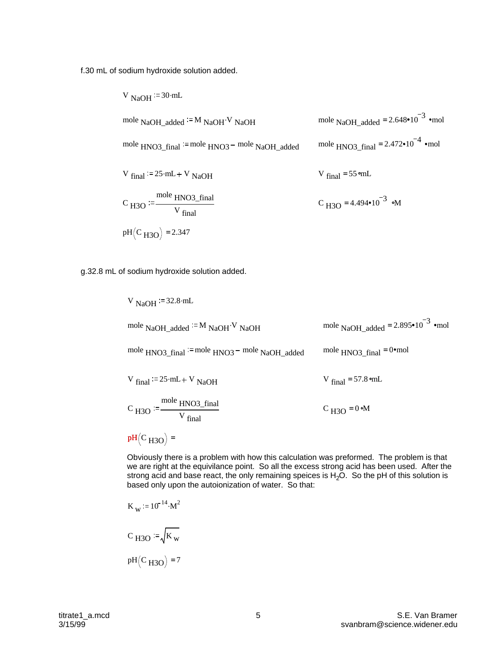f.30 mL of sodium hydroxide solution added.

V NaOH <sup>:= 30·mL</sup>  
\nmole NaOH\_added <sup>:= M</sup> NaOH<sup>V</sup> NaOH  
\nmole NaOH\_added = 2.648•10<sup>-3</sup> •mol  
\nmole HNO3\_final <sup>:= mole</sup> HNO3 – mole NaOH\_added  
\nV final <sup>:= 25·mL + V</sup> NaOH  
\nV final = 55 •ml  
\nC H3O <sup>:=</sup>  
\n
$$
\frac{\text{mole HNO3_final}}{\text{V final}}
$$
\nC H3O = 4.494•10<sup>-3</sup> •M  
\n
$$
\frac{\text{mole HNO3_final}}{\text{V final}}
$$

g.32.8 mL of sodium hydroxide solution added.

V NaOH := 32.8·mL  
\nmole NaOH\_added := M NaOH<sup>•</sup>V NaOH  
\nmole NaOH\_added = 2.895•10<sup>-3</sup> •mol  
\nmole HNO3\_final := mole HNO3 – mole NaOH\_added  
\nV<sub>final</sub> := 25·mL + V NaOH  
\n
$$
V_{final} = 57.8·mL
$$
\n
$$
C_{H3O} := \frac{\text{mole HNO3_final}}{V_{final}}
$$
\n
$$
C_{H3O} = 0·m
$$
\n
$$
pH(C_{H3O}) =
$$

Obviously there is a problem with how this calculation was preformed. The problem is that we are right at the equivilance point. So all the excess strong acid has been used. After the strong acid and base react, the only remaining speices is  $H_2O$ . So the pH of this solution is based only upon the autoionization of water. So that:

$$
K_{w} := 10^{-14} \cdot M^{2}
$$
  

$$
C_{H3O} := \sqrt{K_{w}}
$$
  

$$
pH(C_{H3O}) = 7
$$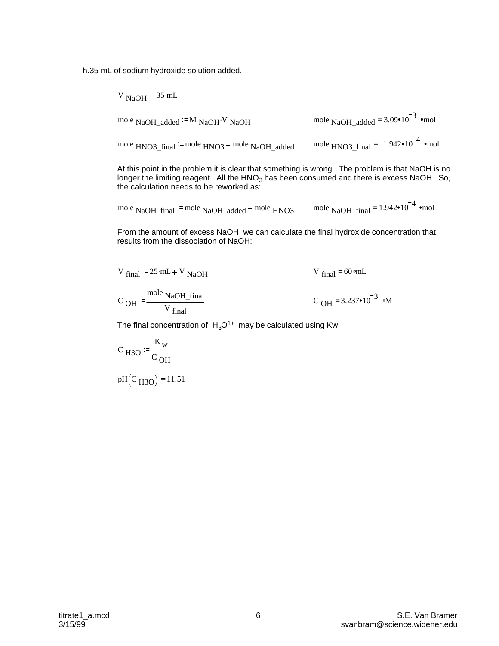h.35 mL of sodium hydroxide solution added.

 $V_{\text{NaOH}} = 35 \text{ mL}$ 

mole NaOH\_added  $=$ M NaOH V NaOH . mole NaOH\_added  $=$  3.09 $\cdot$ 10<sup>-3</sup>  $\cdot$ mol mole  $HNO3$  final  $=$  mole  $HNO3$  mole NaOH added mole HNO3 final  $= -1.942 \cdot 10^{-4}$  •mol

At this point in the problem it is clear that something is wrong. The problem is that NaOH is no longer the limiting reagent. All the  $HNO<sub>3</sub>$  has been consumed and there is excess NaOH. So, the calculation needs to be reworked as:

mole NaOH-final <sup>:=</sup> mole NaOH\_added – mole HNO3 mole NaOH\_final = 
$$
1.942 \cdot 10^{-4}
$$
  $\cdot$ mol

From the amount of excess NaOH, we can calculate the final hydroxide concentration that results from the dissociation of NaOH:

$$
V_{final} := 25 \cdot mL + V_{NaOH}
$$

 $\rm _{C$   $\rm _{OH}$ mole NaOH\_final V final

 $C_{\text{OH}} = 3.237 \cdot 10^{-3}$  om

V final =  $60$   $mL$ 

The final concentration of  $H_3O^{1+}$  may be calculated using Kw.

$$
C_{H3O} := \frac{K_w}{C_{OH}}
$$

 $pH (C_{H3O}) = 11.51$